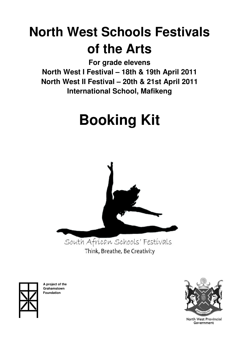# **North West Schools Festivals of the Arts**

**For grade elevens** 

**North West I Festival – 18th & 19th April 2011 North West II Festival – 20th & 21st April 2011 International School, Mafikeng** 

# **Booking Kit**



Think, Breathe, Be Creativity



**A project of the Grahamstown Foundation** 



North West Provincial Government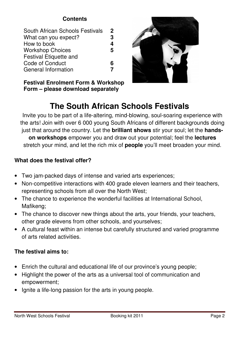# **Contents**

| South African Schools Festivals | $\mathbf 2$ |
|---------------------------------|-------------|
| What can you expect?            | 3           |
| How to book                     | 4           |
| <b>Workshop Choices</b>         | 5           |
| <b>Festival Etiquette and</b>   |             |
| Code of Conduct                 | 6           |
| <b>General Information</b>      |             |
|                                 |             |

**Festival Enrolment Form & Workshop Form – please download separately**

# **The South African Schools Festivals**

Invite you to be part of a life-altering, mind-blowing, soul-soaring experience with the arts! Join with over 6 000 young South Africans of different backgrounds doing just that around the country. Let the **brilliant shows** stir your soul; let the **handson workshops** empower you and draw out your potential; feel the **lectures** stretch your mind, and let the rich mix of **people** you'll meet broaden your mind.

# **What does the festival offer?**

- Two jam-packed days of intense and varied arts experiences;
- Non-competitive interactions with 400 grade eleven learners and their teachers, representing schools from all over the North West;
- The chance to experience the wonderful facilities at International School, Mafikeng;
- The chance to discover new things about the arts, your friends, your teachers, other grade elevens from other schools, and yourselves;
- A cultural feast within an intense but carefully structured and varied programme of arts related activities.

# **The festival aims to:**

- Enrich the cultural and educational life of our province's young people;
- Highlight the power of the arts as a universal tool of communication and empowerment;
- Ignite a life-long passion for the arts in young people.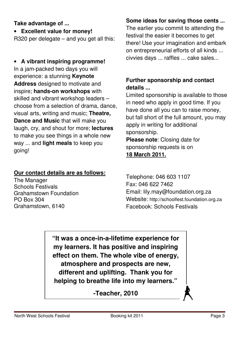# **Take advantage of ...**

• **Excellent value for money!** 

R320 per delegate – and you get all this:

# • **A vibrant inspiring programme!** In a jam-packed two days you will experience: a stunning **Keynote Address** designed to motivate and inspire; **hands-on workshops** with skilled and vibrant workshop leaders – choose from a selection of drama, dance, visual arts, writing and music; **Theatre, Dance and Music** that will make you laugh, cry, and shout for more; **lectures** to make you see things in a whole new way ... and **light meals** to keep you going!

# **Our contact details are as follows:**

The Manager Schools Festivals Grahamstown Foundation PO Box 304 Grahamstown, 6140

# **Some ideas for saving those cents ...**

The earlier you commit to attending the festival the easier it becomes to get there! Use your imagination and embark on entrepreneurial efforts of all kinds ... civvies days ... raffles ... cake sales...

# **Further sponsorship and contact details ...**

Limited sponsorship is available to those in need who apply in good time. If you have done all you can to raise money, but fall short of the full amount, you may apply in writing for additional sponsorship. **Please note**: Closing date for sponsorship requests is on

# **18 March 2011.**

Telephone: 046 603 1107 Fax: 046 622 7462 Email: lily.may@foundation.org.za Website: http://schoolfest.foundation.org.za Facebook: Schools Festivals

**"It was a once-in-a-lifetime experience for my learners. It has positive and inspiring effect on them. The whole vibe of energy, atmosphere and prospects are new, different and uplifting. Thank you for helping to breathe life into my learners."** 

**-Teacher, 2010**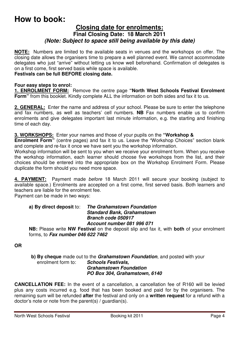# **How to book:**

## **Closing date for enrolments: Final Closing Date: 18 March 2011**  *(Note: Subject to space still being available by this date)*

**NOTE:** Numbers are limited to the available seats in venues and the workshops on offer. The closing date allows the organisers time to prepare a well planned event. We cannot accommodate delegates who just "arrive" without letting us know well beforehand. Confirmation of delegates is on a first come, first served basis while space is available.

#### **Festivals can be full BEFORE closing date.**

#### **Four easy steps to enrol:**

**1. ENROLMENT FORM:** Remove the centre page **"North West Schools Festival Enrolment Form"** from this booklet. Kindly complete ALL the information on both sides and fax it to us.

**2. GENERAL:** Enter the name and address of your school. Please be sure to enter the telephone and fax numbers, as well as teachers' cell numbers. **NB** Fax numbers enable us to confirm enrolments and give delegates important last minute information, e.g. the starting and finishing time of each day.

**3. WORKSHOPS:** Enter your names and those of your pupils on the **"Workshop &** 

**Enrolment Form"** (centre pages) and fax it to us. Leave the "Workshop Choices" section blank and complete and re-fax it once we have sent you the workshop information.

Workshop information will be sent to you when we receive your enrolment form. When you receive the workshop information, each learner should choose five workshops from the list, and their choices should be entered into the appropriate box on the Workshop Enrolment Form. Please duplicate the form should you need more space.

**4. PAYMENT:** Payment made *before* 18 March 2011 will secure your booking (subject to available space.) Enrolments are accepted on a first come, first served basis. Both learners and teachers are liable for the enrolment fee.

Payment can be made in two ways:

#### **a) By direct deposit** to: *The Grahamstown Foundation Standard Bank, Grahamstown Branch code 050917 Account number 081 996 071*

**NB:** Please write **NW Festival** on the deposit slip and fax it, with **both** of your enrolment forms, to *Fax number 046 622 7462* 

**OR**

**b) By cheque** made out to the *Grahamstown Foundation*, and posted with your enrolment form to: **Schools Festivals. Schools Festivals,** *Grahamstown Foundation PO Box 304, Grahamstown, 6140* 

**CANCELLATION FEE:** In the event of a cancellation, a cancellation fee of R160 will be levied plus any costs incurred e.g. food that has been booked and paid for by the organisers. The remaining sum will be refunded **after** the festival and only on a **written request** for a refund with a doctor's note or note from the parent(s) / guardian(s).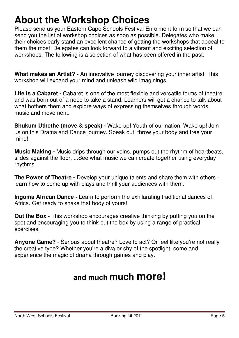# **About the Workshop Choices**

Please send us your Eastern Cape Schools Festival Enrolment form so that we can send you the list of workshop choices as soon as possible. Delegates who make their choices early stand an excellent chance of getting the workshops that appeal to them the most! Delegates can look forward to a vibrant and exciting selection of workshops. The following is a selection of what has been offered in the past:

**What makes an Artist? -** An innovative journey discovering your inner artist. This workshop will expand your mind and unleash wild imaginings.

Life is a Cabaret - Cabaret is one of the most flexible and versatile forms of theatre and was born out of a need to take a stand. Learners will get a chance to talk about what bothers them and explore ways of expressing themselves through words, music and movement.

**Shukum Uthethe (move & speak) -** Wake up! Youth of our nation! Wake up! Join us on this Drama and Dance journey. Speak out, throw your body and free your mind!

**Music Making -** Music drips through our veins, pumps out the rhythm of heartbeats, slides against the floor, ...See what music we can create together using everyday rhythms.

**The Power of Theatre -** Develop your unique talents and share them with others learn how to come up with plays and thrill your audiences with them.

**Ingoma African Dance -** Learn to perform the exhilarating traditional dances of Africa. Get ready to shake that body of yours!

**Out the Box -** This workshop encourages creative thinking by putting you on the spot and encouraging you to think out the box by using a range of practical exercises.

**Anyone Game?** - Serious about theatre? Love to act? Or feel like you're not really the creative type? Whether you're a diva or shy of the spotlight, come and experience the magic of drama through games and play.

# **and much much more!**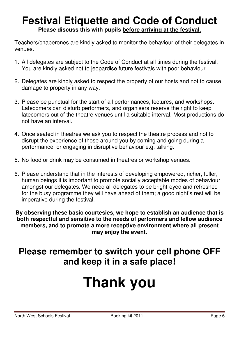# **Festival Etiquette and Code of Conduct Please discuss this with pupils before arriving at the festival.**

Teachers/chaperones are kindly asked to monitor the behaviour of their delegates in venues.

- 1. All delegates are subject to the Code of Conduct at all times during the festival. You are kindly asked not to jeopardise future festivals with poor behaviour.
- 2. Delegates are kindly asked to respect the property of our hosts and not to cause damage to property in any way.
- 3. Please be punctual for the start of all performances, lectures, and workshops. Latecomers can disturb performers, and organisers reserve the right to keep latecomers out of the theatre venues until a suitable interval. Most productions do not have an interval.
- 4. Once seated in theatres we ask you to respect the theatre process and not to disrupt the experience of those around you by coming and going during a performance, or engaging in disruptive behaviour e.g. talking.
- 5. No food or drink may be consumed in theatres or workshop venues.
- 6. Please understand that in the interests of developing empowered, richer, fuller, human beings it is important to promote socially acceptable modes of behaviour amongst our delegates. We need all delegates to be bright-eyed and refreshed for the busy programme they will have ahead of them; a good night's rest will be imperative during the festival.

**By observing these basic courtesies, we hope to establish an audience that is both respectful and sensitive to the needs of performers and fellow audience members, and to promote a more receptive environment where all present may enjoy the event.** 

# **Please remember to switch your cell phone OFF and keep it in a safe place!**

# **Thank you**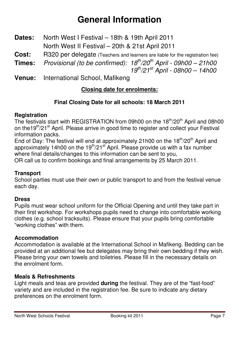# **General Information**

- **Dates:** North West I Festival 18th & 19th April 2011 North West II Festival – 20th & 21st April 2011
- **Cost:** R320 per delegate (Teachers and learners are liable for the registration fee)
- **Times:** *Provisional (to be confirmed): 18th/20th April 09h00 21h00 19th/21st April - 08h00 – 14h00*
- **Venue:** International School, Mafikeng

# **Closing date for enrolments:**

# **Final Closing Date for all schools: 18 March 2011**

## **Registration**

The festivals start with REGISTRATION from 09h00 on the 18<sup>th</sup>/20<sup>th</sup> April and 08h00 on the19<sup>th</sup>/21<sup>st</sup> April. Please arrive in good time to register and collect your Festival information packs.

End of Day: The festival will end at approximately 21h00 on the  $18<sup>th</sup>/20<sup>th</sup>$  April and approximately 14h00 on the  $19<sup>th</sup>/21<sup>st</sup>$  April. Please provide us with a fax number where final details/changes to this information can be sent to you,

OR call us to confirm bookings and final arrangements by 25 March 2011.

#### **Transport**

School parties must use their own or public transport to and from the festival venue each day.

#### **Dress**

Pupils must wear school uniform for the Official Opening and until they take part in their first workshop. For workshops pupils need to change into comfortable working clothes (e.g. school tracksuits). Please ensure that your pupils bring comfortable "working clothes" with them.

#### **Accommodation**

Accommodation is available at the International School in Mafikeng. Bedding can be provided at an additional fee but delegates may bring their own bedding if they wish. Please bring your own towels and toiletries. Please fill in the necessary details on the enrolment form.

#### **Meals & Refreshments**

Light meals and teas are provided **during** the festival. They are of the "fast-food" variety and are included in the registration fee. Be sure to indicate any dietary preferences on the enrolment form.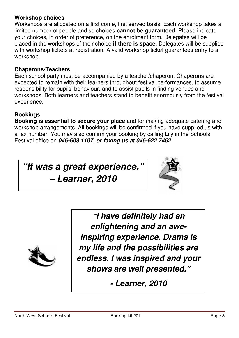## **Workshop choices**

Workshops are allocated on a first come, first served basis. Each workshop takes a limited number of people and so choices **cannot be guaranteed**. Please indicate your choices, in order of preference, on the enrolment form. Delegates will be placed in the workshops of their choice **if there is space**. Delegates will be supplied with workshop tickets at registration. A valid workshop ticket guarantees entry to a workshop.

## **Chaperons/Teachers**

Each school party must be accompanied by a teacher/chaperon. Chaperons are expected to remain with their learners throughout festival performances, to assume responsibility for pupils' behaviour, and to assist pupils in finding venues and workshops. Both learners and teachers stand to benefit enormously from the festival experience.

# **Bookings**

**Booking is essential to secure your place** and for making adequate catering and workshop arrangements. All bookings will be confirmed if you have supplied us with a fax number. You may also confirm your booking by calling Lily in the Schools Festival office on *046-603 1107, or faxing us at 046-622 7462.* 

*"It was a great experience."* 

*– Learner, 2010* 





*"I have definitely had an enlightening and an aweinspiring experience. Drama is my life and the possibilities are endless. I was inspired and your shows are well presented."* 

*- Learner, 2010*